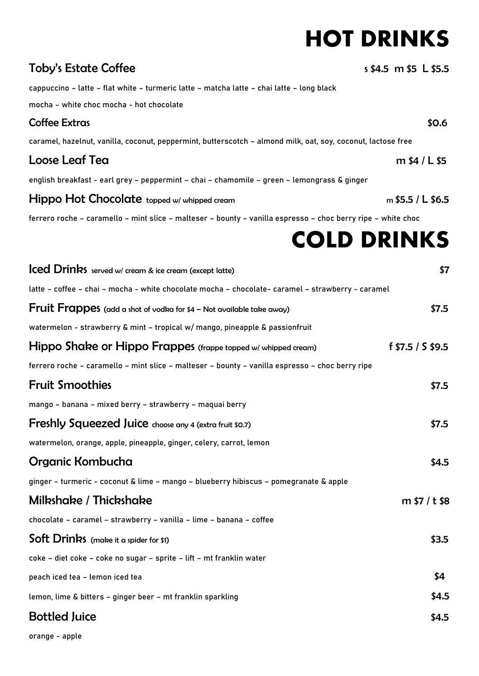# **HOT DRINKS**

| <b>Toby's Estate Coffee</b>                                                                                  | s \$4.5 m \$5 L \$5.5 |
|--------------------------------------------------------------------------------------------------------------|-----------------------|
| cappuccino - latte - flat white - turmeric latte - matcha latte - chai latte - long black                    |                       |
| mocha - white choc mocha - hot chocolate                                                                     |                       |
| <b>Coffee Extras</b>                                                                                         | \$0.6                 |
| caramel, hazelnut, vanilla, coconut, peppermint, butterscotch - almond milk, oat, soy, coconut, lactose free |                       |
| Loose Leaf Tea                                                                                               | m $$4 / L $5$         |
| english breakfast - earl grey - peppermint - chai - chamomile - green - lemongrass & ginger                  |                       |
| <b>Hippo Hot Chocolate</b> topped w/ whipped cream                                                           | $m$ \$5.5 / L \$6.5   |
| ferrero roche - caramello - mint slice - malteser - bounty - vanilla espresso - choc berry ripe - white choc |                       |
|                                                                                                              | <b>COLD DRINKS</b>    |
| <b>Iced Drinks</b> served w/ cream & ice cream (except latte)                                                | \$7                   |
| latte - coffee - chai - mocha - white chocolate mocha - chocolate- caramel - strawberry - caramel            |                       |
| Fruit Frappes (add a shot of vodka for \$4 - Not available take away)                                        | \$7.5                 |
| watermelon - strawberry & mint - tropical w/ mango, pineapple & passionfruit                                 |                       |
| Hippo Shake or Hippo Frappes (frappe topped w/ whipped cream)                                                | f $$7.5 / S $9.5$     |
| ferrero roche – caramello – mint slice – malteser – bounty – vanilla espresso – choc berry ripe              |                       |
| <b>Fruit Smoothies</b>                                                                                       | \$7.5                 |
| mango - banana - mixed berry - strawberry - maquai berry                                                     |                       |
| Freshly Squeezed Juice choose any 4 (extra fruit \$0.7)                                                      | \$7.5                 |
| watermelon, orange, apple, pineapple, ginger, celery, carrot, lemon                                          |                       |
| Organic Kombucha                                                                                             | \$4.5                 |
| ginger - turmeric - coconut & lime - mango - blueberry hibiscus - pomegranate & apple                        |                       |
| Milkshake / Thickshake                                                                                       | m \$7 / t \$8         |
| chocolate - caramel - strawberry - vanilla - lime - banana - coffee                                          |                       |
| Soft Drinks (make it a spider for \$1)                                                                       | \$3.5                 |
| coke - diet coke - coke no sugar - sprite - lift - mt franklin water                                         |                       |
| peach iced tea - lemon iced tea                                                                              | \$4                   |
| lemon, lime & bitters - ginger beer - mt franklin sparkling                                                  | \$4.5                 |
| <b>Bottled Juice</b>                                                                                         | \$4.5                 |

orange - apple